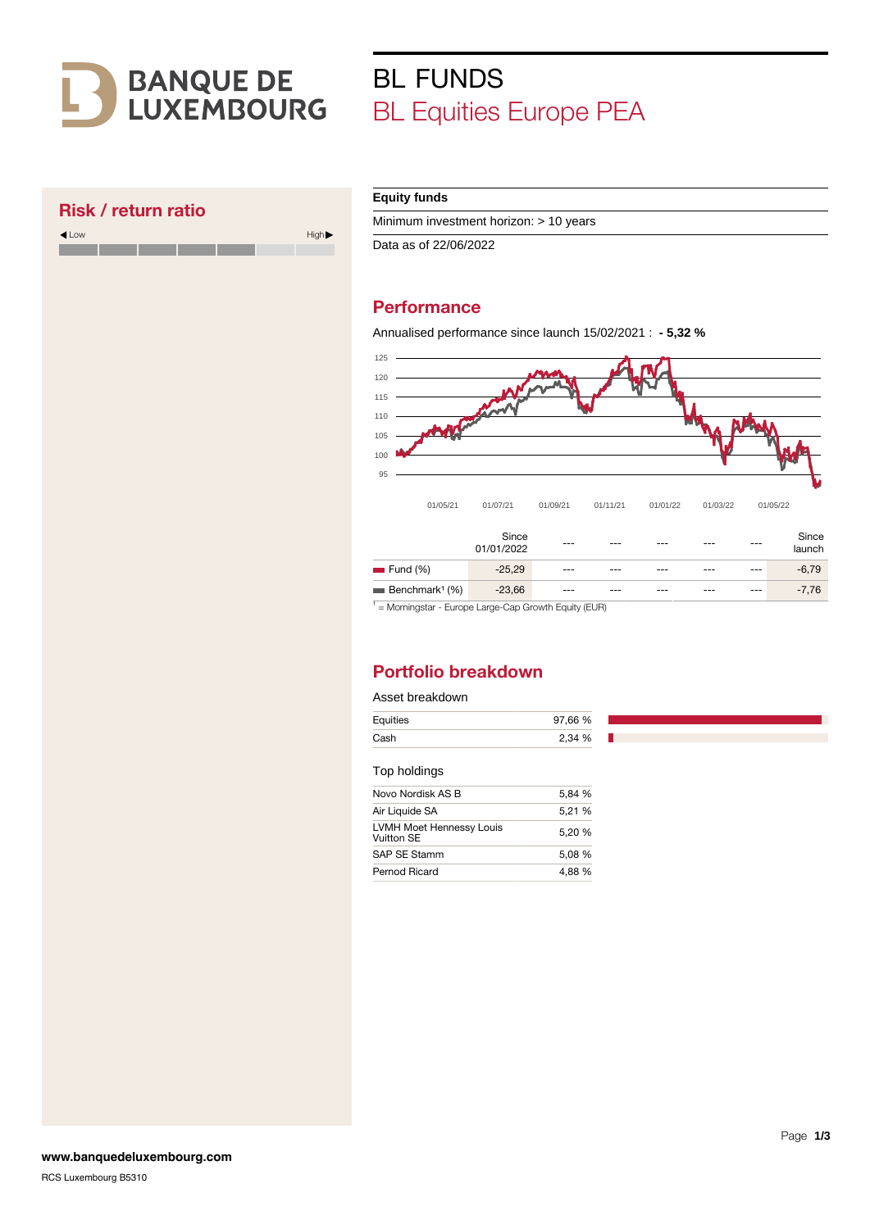# **BANQUE DE<br>LUXEMBOURG**

Low High

# BL FUNDS BL Equities Europe PEA

## Risk / return ratio

| Equity funds |  |
|--------------|--|
|              |  |

Minimum investment horizon: > 10 years

Data as of 22/06/2022

# **Performance**

Annualised performance since launch 15/02/2021 : **- 5,32 %**



<sup>1</sup> = Morningstar - Europe Large-Cap Growth Equity (EUR)

# Portfolio breakdown

#### Asset breakdown

| Equities | 97,66 % |
|----------|---------|
| Cash     | 2,34 %  |

#### Top holdings

| 5,84 % |
|--------|
| 5.21 % |
| 5,20 % |
| 5.08 % |
| 4.88 % |
|        |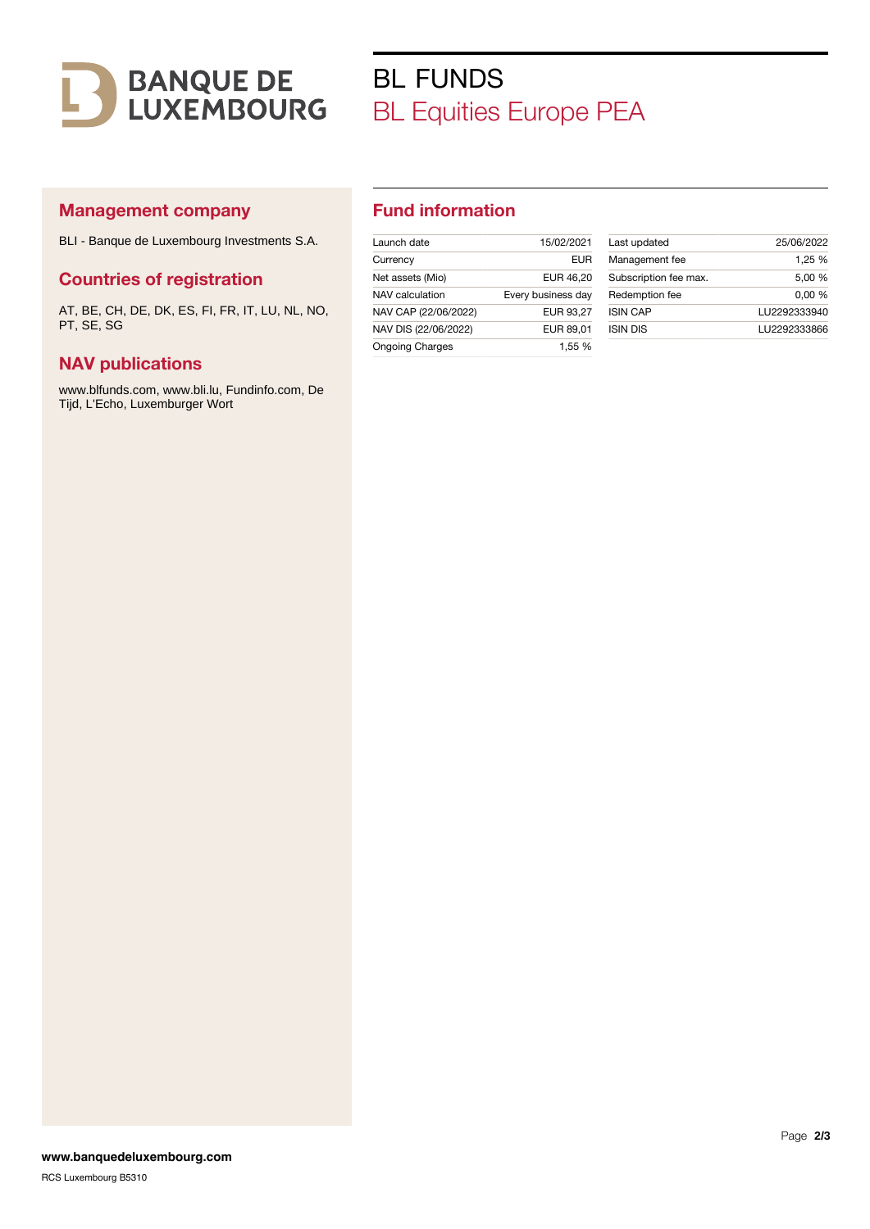

# BL FUNDS BL Equities Europe PEA

## Management company

BLI - Banque de Luxembourg Investments S.A.

## Countries of registration

AT, BE, CH, DE, DK, ES, FI, FR, IT, LU, NL, NO, PT, SE, SG

## NAV publications

www.blfunds.com, www.bli.lu, Fundinfo.com, De Tijd, L'Echo, Luxemburger Wort

## Fund information

| Launch date            | 15/02/2021         |
|------------------------|--------------------|
| Currency               | FUR                |
| Net assets (Mio)       | EUR 46,20          |
| NAV calculation        | Every business day |
| NAV CAP (22/06/2022)   | EUR 93.27          |
| NAV DIS (22/06/2022)   | EUR 89.01          |
| <b>Ongoing Charges</b> | 1.55 %             |
|                        |                    |

| Last updated          | 25/06/2022   |
|-----------------------|--------------|
| Management fee        | 1.25 %       |
| Subscription fee max. | 5.00 %       |
| Redemption fee        | 0.00%        |
| <b>ISIN CAP</b>       | LU2292333940 |
| <b>ISIN DIS</b>       | LU2292333866 |
|                       |              |